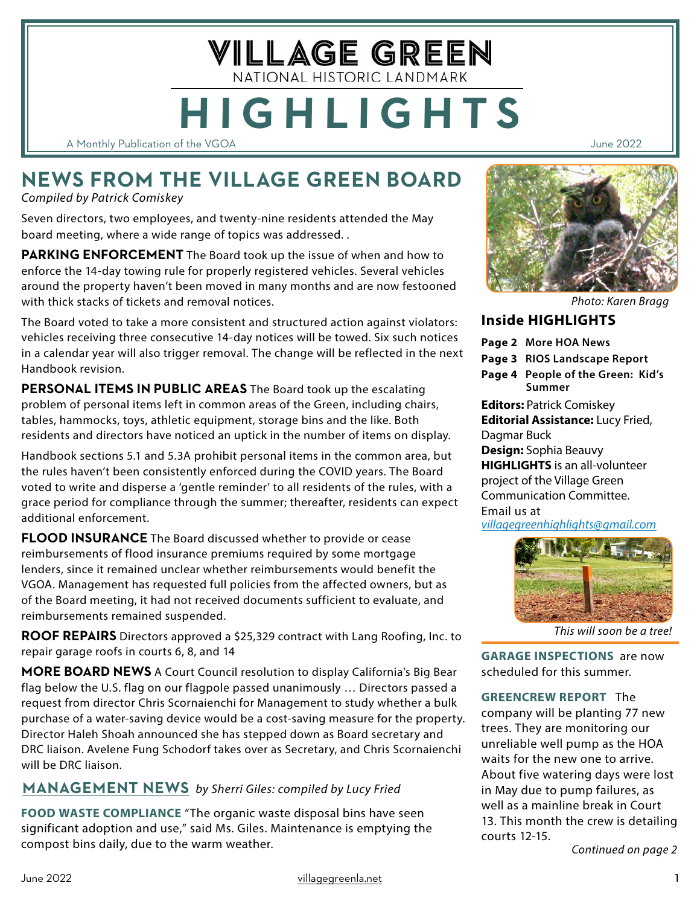A Monthly Publication of the VGOA June 2022

# **NEWS FROM THE VILLAGE GREEN BOARD**

**HIGHLIGHTS**

VILLAGE GREEN NATIONAL HISTORIC LANDMARK

*Compiled by Patrick Comiskey*

Seven directors, two employees, and twenty-nine residents attended the May board meeting, where a wide range of topics was addressed. .

**PARKING ENFORCEMENT** The Board took up the issue of when and how to enforce the 14-day towing rule for properly registered vehicles. Several vehicles around the property haven't been moved in many months and are now festooned with thick stacks of tickets and removal notices.

The Board voted to take a more consistent and structured action against violators: vehicles receiving three consecutive 14-day notices will be towed. Six such notices in a calendar year will also trigger removal. The change will be reflected in the next Handbook revision.

**PERSONAL ITEMS IN PUBLIC AREAS** The Board took up the escalating problem of personal items left in common areas of the Green, including chairs, tables, hammocks, toys, athletic equipment, storage bins and the like. Both residents and directors have noticed an uptick in the number of items on display.

Handbook sections 5.1 and 5.3A prohibit personal items in the common area, but the rules haven't been consistently enforced during the COVID years. The Board voted to write and disperse a 'gentle reminder' to all residents of the rules, with a grace period for compliance through the summer; thereafter, residents can expect additional enforcement.

**FLOOD INSURANCE** The Board discussed whether to provide or cease reimbursements of flood insurance premiums required by some mortgage lenders, since it remained unclear whether reimbursements would benefit the VGOA. Management has requested full policies from the affected owners, but as of the Board meeting, it had not received documents sufficient to evaluate, and reimbursements remained suspended.

**ROOF REPAIRS** Directors approved a \$25,329 contract with Lang Roofing, Inc. to repair garage roofs in courts 6, 8, and 14

**MORE BOARD NEWS** A Court Council resolution to display California's Big Bear flag below the U.S. flag on our flagpole passed unanimously … Directors passed a request from director Chris Scornaienchi for Management to study whether a bulk purchase of a water-saving device would be a cost-saving measure for the property. Director Haleh Shoah announced she has stepped down as Board secretary and DRC liaison. Avelene Fung Schodorf takes over as Secretary, and Chris Scornaienchi will be DRC liaison.

## **MANAGEMENT NEWS** *by Sherri Giles: compiled by Lucy Fried*

**FOOD WASTE COMPLIANCE** "The organic waste disposal bins have seen significant adoption and use," said Ms. Giles. Maintenance is emptying the compost bins daily, due to the warm weather.



*Photo: Karen Bragg*

## **Inside HIGHLIGHTS**

- **Page 2 More HOA News**
- **Page 3 RIOS Landscape Report**
- **Page 4 People of the Green: Kid's Summer**

#### **Editors:** Patrick Comiskey **Editorial Assistance:** Lucy Fried, Dagmar Buck

**Design:** Sophia Beauvy **HIGHLIGHTS** is an all-volunteer project of the Village Green Communication Committee. Email us at

*[villagegreenhighlights@gmail.com](mailto:villagegreenhighlights%40gmail.com?subject=)*



*This will soon be a tree!*

**GARAGE INSPECTIONS** are now scheduled for this summer.

**GREENCREW REPORT** The company will be planting 77 new trees. They are monitoring our unreliable well pump as the HOA waits for the new one to arrive. About five watering days were lost in May due to pump failures, as well as a mainline break in Court 13. This month the crew is detailing courts 12-15.

*Continued on page 2*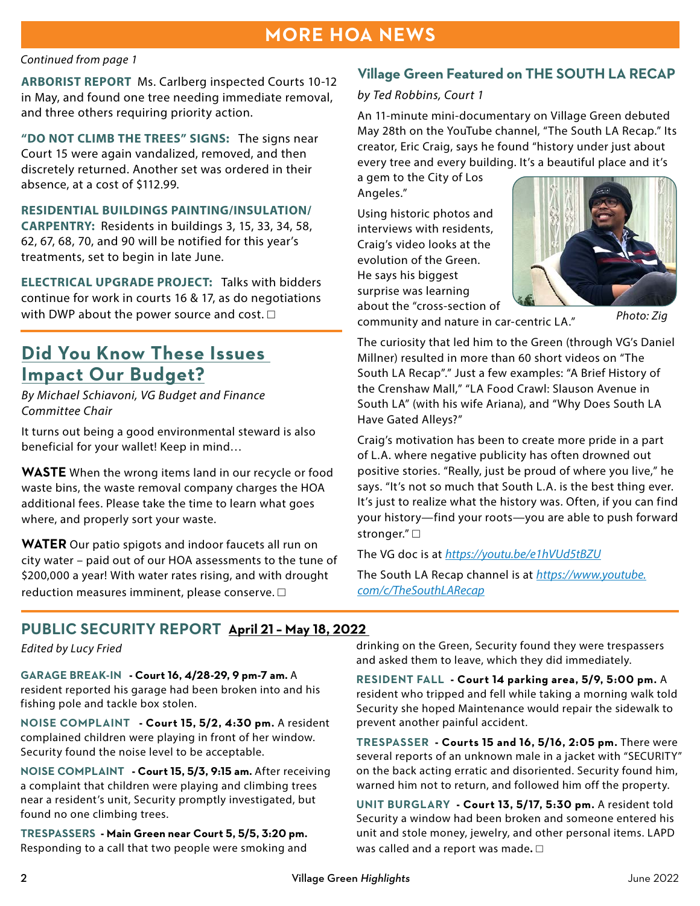## **MORE HOA NEWS**

#### *Continued from page 1*

**ARBORIST REPORT** Ms. Carlberg inspected Courts 10-12 in May, and found one tree needing immediate removal, and three others requiring priority action.

**"DO NOT CLIMB THE TREES" SIGNS:** The signs near Court 15 were again vandalized, removed, and then discretely returned. Another set was ordered in their absence, at a cost of \$112.99.

**RESIDENTIAL BUILDINGS PAINTING/INSULATION/ CARPENTRY:** Residents in buildings 3, 15, 33, 34, 58, 62, 67, 68, 70, and 90 will be notified for this year's treatments, set to begin in late June.

**ELECTRICAL UPGRADE PROJECT:** Talks with bidders continue for work in courts 16 & 17, as do negotiations with DWP about the power source and cost.  $\square$ 

# **Did You Know These Issues Impact Our Budget?**

*By Michael Schiavoni, VG Budget and Finance Committee Chair* 

It turns out being a good environmental steward is also beneficial for your wallet! Keep in mind…

**WASTE** When the wrong items land in our recycle or food waste bins, the waste removal company charges the HOA additional fees. Please take the time to learn what goes where, and properly sort your waste.

**WATER** Our patio spigots and indoor faucets all run on city water – paid out of our HOA assessments to the tune of \$200,000 a year! With water rates rising, and with drought reduction measures imminent, please conserve.  $\square$ 

### **Village Green Featured on THE SOUTH LA RECAP**

#### *by Ted Robbins, Court 1*

An 11-minute mini-documentary on Village Green debuted May 28th on the YouTube channel, "The South LA Recap." Its creator, Eric Craig, says he found "history under just about every tree and every building. It's a beautiful place and it's

a gem to the City of Los Angeles."

Using historic photos and interviews with residents, Craig's video looks at the evolution of the Green. He says his biggest surprise was learning about the "cross-section of



community and nature in car-centric LA."

*Photo: Zig*

The curiosity that led him to the Green (through VG's Daniel Millner) resulted in more than 60 short videos on "The South LA Recap"." Just a few examples: "A Brief History of the Crenshaw Mall," "LA Food Crawl: Slauson Avenue in South LA" (with his wife Ariana), and "Why Does South LA Have Gated Alleys?"

Craig's motivation has been to create more pride in a part of L.A. where negative publicity has often drowned out positive stories. "Really, just be proud of where you live," he says. "It's not so much that South L.A. is the best thing ever. It's just to realize what the history was. Often, if you can find your history—find your roots—you are able to push forward stronger." □

The VG doc is at *<https://youtu.be/e1hVUd5tBZU>*

The South LA Recap channel is at *[https://www.youtube.](https://www.youtube.com/c/TheSouthLARecap) [com/c/TheSouthLARecap](https://www.youtube.com/c/TheSouthLARecap)*

## **PUBLIC SECURITY REPORT April 21 – May 18, 2022**

**GARAGE BREAK-IN - Court 16, 4/28-29, 9 pm-7 am.** A resident reported his garage had been broken into and his fishing pole and tackle box stolen.

**NOISE COMPLAINT - Court 15, 5/2, 4:30 pm.** A resident complained children were playing in front of her window. Security found the noise level to be acceptable.

**NOISE COMPLAINT - Court 15, 5/3, 9:15 am.** After receiving a complaint that children were playing and climbing trees near a resident's unit, Security promptly investigated, but found no one climbing trees.

**TRESPASSERS - Main Green near Court 5, 5/5, 3:20 pm.**  Responding to a call that two people were smoking and

*Edited by Lucy Fried* drinking on the Green, Security found they were trespassers and asked them to leave, which they did immediately.

> **RESIDENT FALL - Court 14 parking area, 5/9, 5:00 pm.** A resident who tripped and fell while taking a morning walk told Security she hoped Maintenance would repair the sidewalk to prevent another painful accident.

> **TRESPASSER - Courts 15 and 16, 5/16, 2:05 pm.** There were several reports of an unknown male in a jacket with "SECURITY" on the back acting erratic and disoriented. Security found him, warned him not to return, and followed him off the property.

**UNIT BURGLARY - Court 13, 5/17, 5:30 pm.** A resident told Security a window had been broken and someone entered his unit and stole money, jewelry, and other personal items. LAPD was called and a report was made**.** □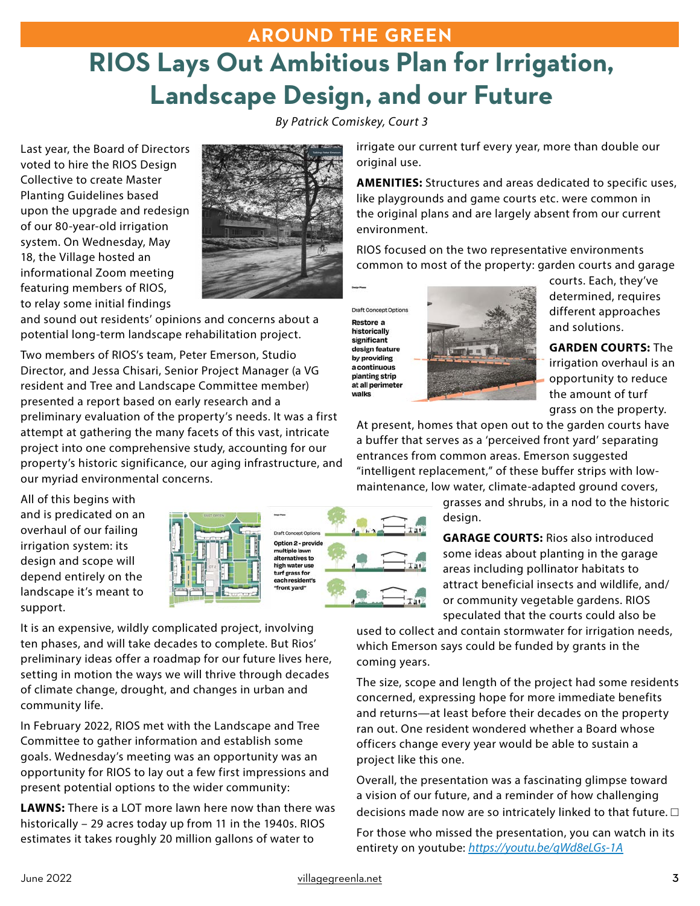# **AROUND THE GREEN RIOS Lays Out Ambitious Plan for Irrigation, Landscape Design, and our Future**

*By Patrick Comiskey, Court 3*

Last year, the Board of Directors voted to hire the RIOS Design Collective to create Master Planting Guidelines based upon the upgrade and redesign of our 80-year-old irrigation system. On Wednesday, May 18, the Village hosted an informational Zoom meeting featuring members of RIOS, to relay some initial findings



and sound out residents' opinions and concerns about a potential long-term landscape rehabilitation project.

Two members of RIOS's team, Peter Emerson, Studio Director, and Jessa Chisari, Senior Project Manager (a VG resident and Tree and Landscape Committee member) presented a report based on early research and a preliminary evaluation of the property's needs. It was a first attempt at gathering the many facets of this vast, intricate project into one comprehensive study, accounting for our property's historic significance, our aging infrastructure, and our myriad environmental concerns.

All of this begins with and is predicated on an overhaul of our failing irrigation system: its design and scope will depend entirely on the landscape it's meant to support.



It is an expensive, wildly complicated project, involving ten phases, and will take decades to complete. But Rios' preliminary ideas offer a roadmap for our future lives here, setting in motion the ways we will thrive through decades of climate change, drought, and changes in urban and community life.

In February 2022, RIOS met with the Landscape and Tree Committee to gather information and establish some goals. Wednesday's meeting was an opportunity was an opportunity for RIOS to lay out a few first impressions and present potential options to the wider community:

**LAWNS:** There is a LOT more lawn here now than there was historically – 29 acres today up from 11 in the 1940s. RIOS estimates it takes roughly 20 million gallons of water to

irrigate our current turf every year, more than double our original use.

**AMENITIES:** Structures and areas dedicated to specific uses, like playgrounds and game courts etc. were common in the original plans and are largely absent from our current environment.

RIOS focused on the two representative environments common to most of the property: garden courts and garage

**Draft Concept Options** Restore a historically significant design feature by providing a continuous planting strip at all perimeter walks



courts. Each, they've determined, requires different approaches and solutions.

**GARDEN COURTS:** The irrigation overhaul is an opportunity to reduce the amount of turf grass on the property.

At present, homes that open out to the garden courts have a buffer that serves as a 'perceived front yard' separating entrances from common areas. Emerson suggested "intelligent replacement," of these buffer strips with lowmaintenance, low water, climate-adapted ground covers,

> grasses and shrubs, in a nod to the historic desian.

> **GARAGE COURTS:** Rios also introduced some ideas about planting in the garage areas including pollinator habitats to attract beneficial insects and wildlife, and/ or community vegetable gardens. RIOS speculated that the courts could also be

used to collect and contain stormwater for irrigation needs, which Emerson says could be funded by grants in the coming years.

The size, scope and length of the project had some residents concerned, expressing hope for more immediate benefits and returns—at least before their decades on the property ran out. One resident wondered whether a Board whose officers change every year would be able to sustain a project like this one.

Overall, the presentation was a fascinating glimpse toward a vision of our future, and a reminder of how challenging decisions made now are so intricately linked to that future.  $\square$ 

For those who missed the presentation, you can watch in its entirety on youtube: *<https://youtu.be/qWd8eLGs-1A>*

ept Option Option 2 - provide multiple lawn alternatives to high water use turf grass for ch reside "front vard"